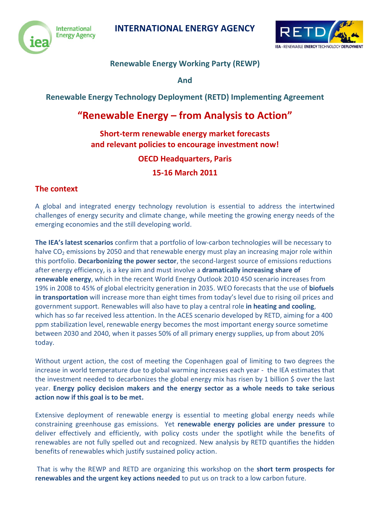



# **Renewable Energy Working Party (REWP)**

**And** 

**Renewable Energy Technology Deployment (RETD) Implementing Agreement**

# **"Renewable Energy – from Analysis to Action"**

### **Short-term renewable energy market forecasts and relevant policies to encourage investment now!**

### **OECD Headquarters, Paris**

# **15-16 March 2011**

#### **The context**

A global and integrated energy technology revolution is essential to address the intertwined challenges of energy security and climate change, while meeting the growing energy needs of the emerging economies and the still developing world.

**The IEA's latest scenarios** confirm that a portfolio of low-carbon technologies will be necessary to halve  $CO<sub>2</sub>$  emissions by 2050 and that renewable energy must play an increasing major role within this portfolio. **Decarbonizing the power sector**, the second-largest source of emissions reductions after energy efficiency, is a key aim and must involve a **dramatically increasing share of renewable energy**, which in the recent World Energy Outlook 2010 450 scenario increases from 19% in 2008 to 45% of global electricity generation in 2035. WEO forecasts that the use of **biofuels in transportation** will increase more than eight times from today's level due to rising oil prices and government support. Renewables will also have to play a central role **in heating and cooling**, which has so far received less attention. In the ACES scenario developed by RETD, aiming for a 400 ppm stabilization level, renewable energy becomes the most important energy source sometime between 2030 and 2040, when it passes 50% of all primary energy supplies, up from about 20% today.

Without urgent action, the cost of meeting the Copenhagen goal of limiting to two degrees the increase in world temperature due to global warming increases each year - the IEA estimates that the investment needed to decarbonizes the global energy mix has risen by 1 billion \$ over the last year. **Energy policy decision makers and the energy sector as a whole needs to take serious action now if this goal is to be met.** 

Extensive deployment of renewable energy is essential to meeting global energy needs while constraining greenhouse gas emissions. Yet **renewable energy policies are under pressure** to deliver effectively and efficiently, with policy costs under the spotlight while the benefits of renewables are not fully spelled out and recognized. New analysis by RETD quantifies the hidden benefits of renewables which justify sustained policy action.

That is why the REWP and RETD are organizing this workshop on the **short term prospects for renewables and the urgent key actions needed** to put us on track to a low carbon future.